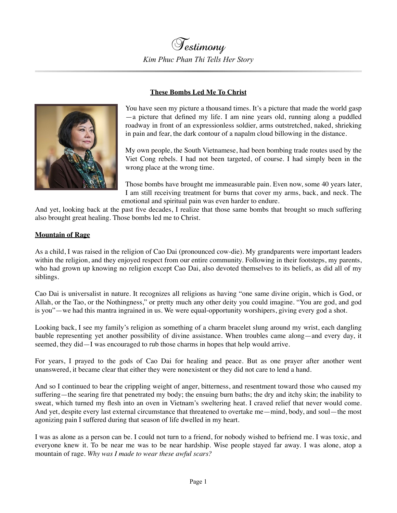

## **These Bombs Led Me To Christ**

You have seen my picture a thousand times. It's a picture that made the world gasp —a picture that defined my life. I am nine years old, running along a puddled roadway in front of an expressionless soldier, arms outstretched, naked, shrieking in pain and fear, the dark contour of a napalm cloud billowing in the distance.

My own people, the South Vietnamese, had been bombing trade routes used by the Viet Cong rebels. I had not been targeted, of course. I had simply been in the wrong place at the wrong time.

Those bombs have brought me immeasurable pain. Even now, some 40 years later, I am still receiving treatment for burns that cover my arms, back, and neck. The emotional and spiritual pain was even harder to endure.

And yet, looking back at the past five decades, I realize that those same bombs that brought so much suffering also brought great healing. Those bombs led me to Christ.

## **Mountain of Rage**

As a child, I was raised in the religion of Cao Dai (pronounced cow-die). My grandparents were important leaders within the religion, and they enjoyed respect from our entire community. Following in their footsteps, my parents, who had grown up knowing no religion except Cao Dai, also devoted themselves to its beliefs, as did all of my siblings.

Cao Dai is universalist in nature. It recognizes all religions as having "one same divine origin, which is God, or Allah, or the Tao, or the Nothingness," or pretty much any other deity you could imagine. "You are god, and god is you"—we had this mantra ingrained in us. We were equal-opportunity worshipers, giving every god a shot.

Looking back, I see my family's religion as something of a charm bracelet slung around my wrist, each dangling bauble representing yet another possibility of divine assistance. When troubles came along—and every day, it seemed, they did—I was encouraged to rub those charms in hopes that help would arrive.

For years, I prayed to the gods of Cao Dai for healing and peace. But as one prayer after another went unanswered, it became clear that either they were nonexistent or they did not care to lend a hand.

And so I continued to bear the crippling weight of anger, bitterness, and resentment toward those who caused my suffering—the searing fire that penetrated my body; the ensuing burn baths; the dry and itchy skin; the inability to sweat, which turned my flesh into an oven in Vietnam's sweltering heat. I craved relief that never would come. And yet, despite every last external circumstance that threatened to overtake me—mind, body, and soul—the most agonizing pain I suffered during that season of life dwelled in my heart.

I was as alone as a person can be. I could not turn to a friend, for nobody wished to befriend me. I was toxic, and everyone knew it. To be near me was to be near hardship. Wise people stayed far away. I was alone, atop a mountain of rage. *Why was I made to wear these awful scars?*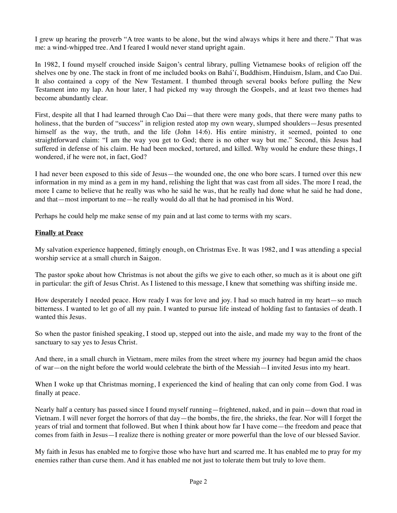I grew up hearing the proverb "A tree wants to be alone, but the wind always whips it here and there." That was me: a wind-whipped tree. And I feared I would never stand upright again.

In 1982, I found myself crouched inside Saigon's central library, pulling Vietnamese books of religion off the shelves one by one. The stack in front of me included books on Bahá'í, Buddhism, Hinduism, Islam, and Cao Dai. It also contained a copy of the New Testament. I thumbed through several books before pulling the New Testament into my lap. An hour later, I had picked my way through the Gospels, and at least two themes had become abundantly clear.

First, despite all that I had learned through Cao Dai—that there were many gods, that there were many paths to holiness, that the burden of "success" in religion rested atop my own weary, slumped shoulders—Jesus presented himself as the way, the truth, and the life (John 14:6). His entire ministry, it seemed, pointed to one straightforward claim: "I am the way you get to God; there is no other way but me." Second, this Jesus had suffered in defense of his claim. He had been mocked, tortured, and killed. Why would he endure these things, I wondered, if he were not, in fact, God?

I had never been exposed to this side of Jesus—the wounded one, the one who bore scars. I turned over this new information in my mind as a gem in my hand, relishing the light that was cast from all sides. The more I read, the more I came to believe that he really was who he said he was, that he really had done what he said he had done, and that—most important to me—he really would do all that he had promised in his Word.

Perhaps he could help me make sense of my pain and at last come to terms with my scars.

## **Finally at Peace**

My salvation experience happened, fittingly enough, on Christmas Eve. It was 1982, and I was attending a special worship service at a small church in Saigon.

The pastor spoke about how Christmas is not about the gifts we give to each other, so much as it is about one gift in particular: the gift of Jesus Christ. As I listened to this message, I knew that something was shifting inside me.

How desperately I needed peace. How ready I was for love and joy. I had so much hatred in my heart—so much bitterness. I wanted to let go of all my pain. I wanted to pursue life instead of holding fast to fantasies of death. I wanted this Jesus.

So when the pastor finished speaking, I stood up, stepped out into the aisle, and made my way to the front of the sanctuary to say yes to Jesus Christ.

And there, in a small church in Vietnam, mere miles from the street where my journey had begun amid the chaos of war—on the night before the world would celebrate the birth of the Messiah—I invited Jesus into my heart.

When I woke up that Christmas morning, I experienced the kind of healing that can only come from God. I was finally at peace.

Nearly half a century has passed since I found myself running—frightened, naked, and in pain—down that road in Vietnam. I will never forget the horrors of that day—the bombs, the fire, the shrieks, the fear. Nor will I forget the years of trial and torment that followed. But when I think about how far I have come—the freedom and peace that comes from faith in Jesus—I realize there is nothing greater or more powerful than the love of our blessed Savior.

My faith in Jesus has enabled me to forgive those who have hurt and scarred me. It has enabled me to pray for my enemies rather than curse them. And it has enabled me not just to tolerate them but truly to love them.